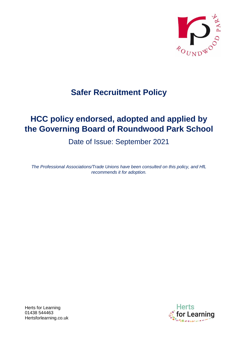

# **Safer Recruitment Policy**

# **HCC policy endorsed, adopted and applied by the Governing Board of Roundwood Park School**

Date of Issue: September 2021

*The Professional Associations/Trade Unions have been consulted on this policy, and HfL recommends it for adoption.*

**Dr Learning** 

Herts for Learning 01438 544463 Hertsforlearning.co.uk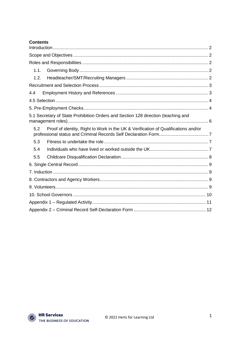## **Contents**

| 1.1.                                                                                      |  |
|-------------------------------------------------------------------------------------------|--|
| 1.2.                                                                                      |  |
|                                                                                           |  |
| 4.4                                                                                       |  |
|                                                                                           |  |
|                                                                                           |  |
| 5.1 Secretary of State Prohibition Orders and Section 128 direction (teaching and         |  |
| Proof of identity, Right to Work in the UK & Verification of Qualifications and/or<br>5.2 |  |
| 5.3                                                                                       |  |
| 5.4                                                                                       |  |
| 5.5                                                                                       |  |
|                                                                                           |  |
|                                                                                           |  |
|                                                                                           |  |
|                                                                                           |  |
|                                                                                           |  |
|                                                                                           |  |
|                                                                                           |  |

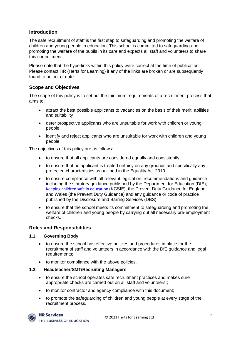# <span id="page-2-0"></span>**Introduction**

The safe recruitment of staff is the first step to safeguarding and promoting the welfare of children and young people in education. This school is committed to safeguarding and promoting the welfare of the pupils in its care and expects all staff and volunteers to share this commitment.

Please note that the hyperlinks within this policy were correct at the time of publication. Please contact HR (Herts for Learning) if any of the links are broken or are subsequently found to be out of date.

# <span id="page-2-1"></span>**Scope and Objectives**

The scope of this policy is to set out the minimum requirements of a recruitment process that aims to:

- attract the best possible applicants to vacancies on the basis of their merit, abilities and suitability
- deter prospective applicants who are unsuitable for work with children or young people
- identify and reject applicants who are unsuitable for work with children and young people.

The objectives of this policy are as follows:

- to ensure that all applicants are considered equally and consistently
- to ensure that no applicant is treated unfairly on any grounds and specifically any protected characteristics as outlined in the Equality Act 2010
- to ensure compliance with all relevant legislation, recommendations and guidance including the statutory guidance published by the Department for Education (DfE), [Keeping children safe in education](https://www.gov.uk/government/publications/keeping-children-safe-in-education--2) (KCSIE), the Prevent Duty Guidance for England and Wales (the Prevent Duty Guidance) and any guidance or code of practice published by the Disclosure and Barring Services (DBS)
- to ensure that the school meets its commitment to safeguarding and promoting the welfare of children and young people by carrying out all necessary pre-employment checks.

## <span id="page-2-2"></span>**Roles and Responsibilities**

#### <span id="page-2-3"></span>**1.1. Governing Body**

- to ensure the school has effective policies and procedures in place for the recruitment of staff and volunteers in accordance with the DfE guidance and legal requirements;
- to monitor compliance with the above policies.

#### <span id="page-2-4"></span>**1.2. Headteacher/SMT/Recruiting Managers**

- to ensure the school operates safe recruitment practices and makes sure appropriate checks are carried out on all staff and volunteers;;
- to monitor contractor and agency compliance with this document;
- to promote the safeguarding of children and young people at every stage of the recruitment process.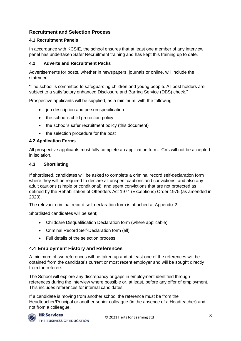# <span id="page-3-0"></span>**Recruitment and Selection Process**

## **4.1 Recruitment Panels**

In accordance with KCSIE, the school ensures that at least one member of any interview panel has undertaken Safer Recruitment training and has kept this training up to date.

#### **4.2 Adverts and Recruitment Packs**

Advertisements for posts, whether in newspapers, journals or online, will include the statement:

"The school is committed to safeguarding children and young people. All post holders are subject to a satisfactory enhanced Disclosure and Barring Service (DBS) check."

Prospective applicants will be supplied, as a minimum, with the following:

- job description and person specification
- the school's child protection policy
- the school's safer recruitment policy (this document)
- the selection procedure for the post

#### **4.2 Application Forms**

All prospective applicants must fully complete an application form. CVs will not be accepted in isolation.

#### **4.3 Shortlisting**

If shortlisted, candidates will be asked to complete a criminal record self-declaration form where they will be required to declare all unspent cautions and convictions; and also any adult cautions (simple or conditional), and spent convictions that are not protected as defined by the Rehabilitation of Offenders Act 1974 (Exceptions) Order 1975 (as amended in 2020).

The relevant criminal record self-declaration form is attached at Appendix 2.

Shortlisted candidates will be sent;

- Childcare Disqualification Declaration form (where applicable).
- Criminal Record Self-Declaration form (all)
- <span id="page-3-1"></span>• Full details of the selection process

## **4.4 Employment History and References**

A minimum of two references will be taken up and at least one of the references will be obtained from the candidate's current or most recent employer and will be sought directly from the referee.

The School will explore any discrepancy or gaps in employment identified through references during the interview where possible or, at least, before any offer of employment. This includes references for internal candidates.

If a candidate is moving from another school the reference must be from the Headteacher/Principal or another senior colleague (in the absence of a Headteacher) and not from a colleague.

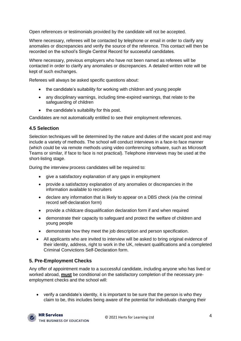Open references or testimonials provided by the candidate will not be accepted.

Where necessary, referees will be contacted by telephone or email in order to clarify any anomalies or discrepancies and verify the source of the reference. This contact will then be recorded on the school's Single Central Record for successful candidates.

Where necessary, previous employers who have not been named as referees will be contacted in order to clarify any anomalies or discrepancies. A detailed written note will be kept of such exchanges.

Referees will always be asked specific questions about:

- the candidate's suitability for working with children and young people
- any disciplinary warnings, including time-expired warnings, that relate to the safeguarding of children
- the candidate's suitability for this post.

Candidates are not automatically entitled to see their employment references.

## <span id="page-4-0"></span>**4.5 Selection**

Selection techniques will be determined by the nature and duties of the vacant post and may include a variety of methods. The school will conduct interviews in a face-to face manner (which could be via remote methods using video conferencing software, such as Microsoft Teams or similar, if face to face is not practical). Telephone interviews may be used at the short-listing stage.

During the interview process candidates will be required to:

- give a satisfactory explanation of any gaps in employment
- provide a satisfactory explanation of any anomalies or discrepancies in the information available to recruiters
- declare any information that is likely to appear on a DBS check (via the criminal record self-declaration form)
- provide a childcare disqualification declaration form if and when required
- demonstrate their capacity to safeguard and protect the welfare of children and young people
- demonstrate how they meet the job description and person specification.
- All applicants who are invited to interview will be asked to bring original evidence of their identity, address, right to work in the UK, relevant qualifications and a completed Criminal Convictions Self-Declaration form.

# <span id="page-4-1"></span>**5. Pre-Employment Checks**

Any offer of appointment made to a successful candidate, including anyone who has lived or worked abroad, **must** be conditional on the satisfactory completion of the necessary preemployment checks and the school will:

• verify a candidate's identity, it is important to be sure that the person is who they claim to be, this includes being aware of the potential for individuals changing their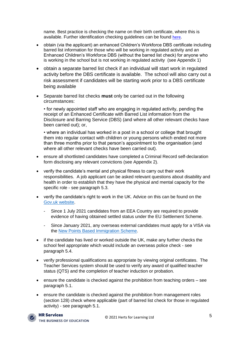name. Best practice is checking the name on their birth certificate, where this is available. Further identification checking guidelines can be found [here.](https://www.gov.uk/government/publications/dbs-identity-checking-guidelines)

- obtain (via the applicant) an enhanced Children's Workforce DBS certificate including barred list information for those who will be working in regulated activity and an Enhanced Children's Workforce DBS (without the barred list check) for anyone who is working in the school but is not working in regulated activity (see Appendix 1)
- obtain a separate barred list check if an individual will start work in regulated activity before the DBS certificate is available. The school will also carry out a risk assessment if candidates will be starting work prior to a DBS certificate being available
- Separate barred list checks **must** only be carried out in the following circumstances:

• for newly appointed staff who are engaging in regulated activity, pending the receipt of an Enhanced Certificate with Barred List information from the Disclosure and Barring Service (DBS) (and where all other relevant checks have been carried out); or,

• where an individual has worked in a post in a school or college that brought them into regular contact with children or young persons which ended not more than three months prior to that person's appointment to the organisation (and where all other relevant checks have been carried out).

- ensure all shortlisted candidates have completed a Criminal Record self-declaration form disclosing any relevant convictions (see Appendix 2).
- verify the candidate's mental and physical fitness to carry out their work responsibilities. A job applicant can be asked relevant questions about disability and health in order to establish that they have the physical and mental capacity for the specific role - see paragraph 5.3.
- verify the candidate's right to work in the UK. Advice on this can be found on the [Gov.uk website.](https://www.gov.uk/check-job-applicant-right-to-work)
	- Since 1 July 2021 candidates from an EEA Country are required to provide evidence of having obtained settled status under the EU Settlement Scheme.
	- Since January 2021, any overseas external candidates must apply for a VISA via the [New Points Based Immigration Scheme.](https://www.gov.uk/government/publications/uk-points-based-immigration-system-employer-information/the-uks-points-based-immigration-system-an-introduction-for-employers)
- if the candidate has lived or worked outside the UK, make any further checks the school feel appropriate which would include an overseas police check - see paragraph 5.4.
- verify professional qualifications as appropriate by viewing original certificates. The Teacher Services system should be used to verify any award of qualified teacher status (QTS) and the completion of teacher induction or probation.
- ensure the candidate is checked against the prohibition from teaching orders see paragraph 5.1.
- ensure the candidate is checked against the prohibition from management roles (section 128) check where applicable (part of barred list check for those in regulated activity) - see paragraph 5.1.

#### **HR Services**

THE BUSINESS OF EDUCATION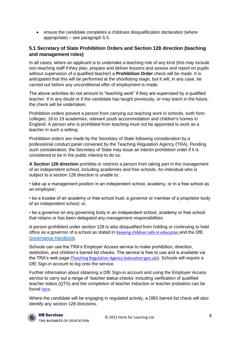• ensure the candidate completes a childcare disqualification declaration (where appropriate) – see paragraph 5.5.

# <span id="page-6-0"></span>**5.1 Secretary of State Prohibition Orders and Section 128 direction (teaching and management roles)**

In all cases, where an applicant is to undertake a teaching role of any kind (this may include non-teaching staff if they plan, prepare and deliver lessons and assess and report on pupils without supervision of a qualified teacher) a **Prohibition Order** check will be made. It is anticipated that this will be performed at the shortlisting stage, but it will, in any case, be carried out before any unconditional offer of employment is made.

The above activities do not amount to "teaching work" if they are supervised by a qualified teacher. If in any doubt or if the candidate has taught previously, or may teach in the future, the check will be undertaken.

Prohibition orders prevent a person from carrying out teaching work in schools, sixth form colleges, 16 to 19 academies, relevant youth accommodation and children's homes in England. A person who is prohibited from teaching must not be appointed to work as a teacher in such a setting.

Prohibition orders are made by the Secretary of State following consideration by a professional conduct panel convened by the Teaching Regulation Agency (TRA). Pending such consideration, the Secretary of State may issue an interim prohibition order if it is considered to be in the public interest to do so.

**A Section 128 direction** prohibits or restricts a person from taking part in the management of an independent school, including academies and free schools. An individual who is subject to a section 128 direction is unable to:

• take up a management position in an independent school, academy, or in a free school as an employee;

• be a trustee of an academy or free school trust; a governor or member of a proprietor body of an independent school; or,

• be a governor on any governing body in an independent school, academy or free school that retains or has been delegated any management responsibilities.

A person prohibited under section 128 is also disqualified from holding or continuing to hold office as a governor of a school as stated in [Keeping children safe in education](https://www.gov.uk/government/publications/keeping-children-safe-in-education--2) and the DfE [Governance Handbook.](https://www.gov.uk/government/publications/governance-handbook)

Schools can use the TRA's Employer Access service to make prohibition, direction, restriction, and children's barred list checks. The service is free to use and is available via the TRA's web page ([Teaching Regulation Agency \(education.gov.uk\)\)](https://teacherservices.education.gov.uk/). Schools will require a DfE Sign-in account to log onto the service.

Further information about obtaining a DfE Sign-in account and using the Employer Access service to carry out a range of 'teacher status checks' including verification of qualified teacher status (QTS) and the completion of teacher induction or teacher probation can be found [here](https://www.gov.uk/guidance/teacher-status-checks-information-for-employers#teacher-services-restrictions-lists).

Where the candidate will be engaging in regulated activity, a DBS barred list check will also identify any section 128 directions.

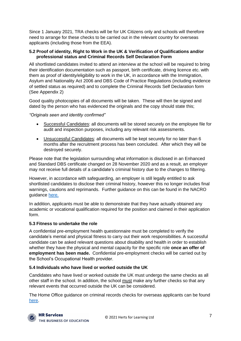Since 1 January 2021, TRA checks will be for UK Citizens only and schools will therefore need to arrange for these checks to be carried out in the relevant country for overseas applicants (including those from the EEA).

#### <span id="page-7-0"></span>**5.2 Proof of identity, Right to Work in the UK & Verification of Qualifications and/or professional status and Criminal Records Self Declaration Form**

All shortlisted candidates invited to attend an interview at the school will be required to bring their identification documentation such as passport, birth certificate, driving licence etc. with them as proof of identity/eligibility to work in the UK, in accordance with the Immigration, Asylum and Nationality Act 2006 and DBS Code of Practice Regulations (including evidence of settled status as required) and to complete the Criminal Records Self Declaration form (See Appendix 2)

Good quality photocopies of all documents will be taken. These will then be signed and dated by the person who has evidenced the originals and the copy should state this;

#### *"Originals seen and identity confirmed"*

- Successful Candidates: all documents will be stored securely on the employee file for audit and inspection purposes, including any relevant risk assessments.
- Unsuccessful Candidates: all documents will be kept securely for no later than 6 months after the recruitment process has been concluded. After which they will be destroyed securely.

Please note that the legislation surrounding what information is disclosed in an Enhanced and Standard DBS certificate changed on 28 November 2020 and as a result, an employer may not receive full details of a candidate's criminal history due to the changes to filtering.

However, in accordance with safeguarding, an employer is still legally entitled to ask shortlisted candidates to disclose their criminal history, however this no longer includes final warnings, cautions and reprimands. Further guidance on this can be found in the NACRO guidance [here.](https://www.nacro.org.uk/criminal-record-support-service/support-for-employers/asking-about-criminal-records/)

In addition, applicants must be able to demonstrate that they have actually obtained any academic or vocational qualification required for the position and claimed in their application form.

## <span id="page-7-1"></span>**5.3 Fitness to undertake the role**

A confidential pre-employment health questionnaire must be completed to verify the candidate's mental and physical fitness to carry out their work responsibilities. A successful candidate can be asked relevant questions about disability and health in order to establish whether they have the physical and mental capacity for the specific role **once an offer of employment has been made.** Confidential pre-employment checks will be carried out by the School's Occupational Health provider.

## <span id="page-7-2"></span>**5.4 Individuals who have lived or worked outside the UK**

Candidates who have lived or worked outside the UK must undergo the same checks as all other staff in the school. In addition, the school must make any further checks so that any relevant events that occurred outside the UK can be considered.

The Home Office guidance on criminal records checks for overseas applicants can be found [here.](https://www.gov.uk/government/publications/criminal-records-checks-for-overseas-applicants)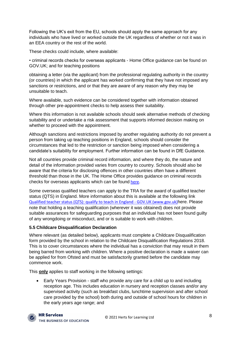Following the UK's exit from the EU, schools should apply the same approach for any individuals who have lived or worked outside the UK regardless of whether or not it was in an EEA country or the rest of the world.

These checks could include, where available:

• criminal records checks for overseas applicants - Home Office guidance can be found on GOV.UK; and for teaching positions

obtaining a letter (via the applicant) from the professional regulating authority in the country (or countries) in which the applicant has worked confirming that they have not imposed any sanctions or restrictions, and or that they are aware of any reason why they may be unsuitable to teach.

Where available, such evidence can be considered together with information obtained through other pre-appointment checks to help assess their suitability.

Where this information is not available schools should seek alternative methods of checking suitability and or undertake a risk assessment that supports informed decision making on whether to proceed with the appointment.

Although sanctions and restrictions imposed by another regulating authority do not prevent a person from taking up teaching positions in England, schools should consider the circumstances that led to the restriction or sanction being imposed when considering a candidate's suitability for employment. Further information can be found in DfE Guidance.

Not all countries provide criminal record information, and where they do, the nature and detail of the information provided varies from country to country. Schools should also be aware that the criteria for disclosing offences in other countries often have a different threshold than those in the UK. The Home Office provides guidance on criminal records checks for overseas applicants which can be found [here.](https://www.gov.uk/guidance/recruit-teachers-from-overseas)

Some overseas qualified teachers can apply to the TRA for the award of qualified teacher status (QTS) in England. More information about this is available at the following link [Qualified teacher status \(QTS\): qualify to teach in England -](https://www.gov.uk/guidance/qualified-teacher-status-qts) GOV.UK (www.gov.uk)here. Please note that holding a teaching qualification (wherever it was obtained) does not provide suitable assurances for safeguarding purposes that an individual has not been found guilty of any wrongdoing or misconduct, and or is suitable to work with children.

## <span id="page-8-0"></span>**5.5 Childcare Disqualification Declaration**

Where relevant (as detailed below), applicants must complete a Childcare Disqualification form provided by the school in relation to the Childcare Disqualification Regulations 2018. This is to cover circumstances where the individual has a conviction that may result in them being barred from working with children. Where a positive declaration is made a waiver can be applied for from Ofsted and must be satisfactorily granted before the candidate may commence work.

This **only** applies to staff working in the following settings:

• Early Years Provision - staff who provide any care for a child up to and including reception age. This includes education in nursery and reception classes and/or any supervised activity (such as breakfast clubs, lunchtime supervision and after school care provided by the school) both during and outside of school hours for children in the early years age range; and

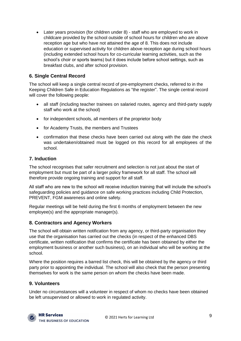• Later years provision (for children under 8) - staff who are employed to work in childcare provided by the school outside of school hours for children who are above reception age but who have not attained the age of 8. This does not include education or supervised activity for children above reception age during school hours (including extended school hours for co-curricular learning activities, such as the school's choir or sports teams) but it does include before school settings, such as breakfast clubs, and after school provision.

# <span id="page-9-0"></span>**6. Single Central Record**

The school will keep a single central record of pre-employment checks, referred to in the Keeping Children Safe in Education Regulations as "the register". The single central record will cover the following people:

- all staff (including teacher trainees on salaried routes, agency and third-party supply staff who work at the school)
- for independent schools, all members of the proprietor body
- for Academy Trusts, the members and Trustees
- confirmation that these checks have been carried out along with the date the check was undertaken/obtained must be logged on this record for all employees of the school.

# <span id="page-9-1"></span>**7. Induction**

The school recognises that safer recruitment and selection is not just about the start of employment but must be part of a larger policy framework for all staff. The school will therefore provide ongoing training and support for all staff.

All staff who are new to the school will receive induction training that will include the school's safeguarding policies and guidance on safe working practices including Child Protection, PREVENT, FGM awareness and online safety.

Regular meetings will be held during the first 6 months of employment between the new employee(s) and the appropriate manager(s).

# <span id="page-9-2"></span>**8. Contractors and Agency Workers**

The school will obtain written notification from any agency, or third-party organisation they use that the organisation has carried out the checks (in respect of the enhanced DBS certificate, written notification that confirms the certificate has been obtained by either the employment business or another such business), on an individual who will be working at the school.

Where the position requires a barred list check, this will be obtained by the agency or third party prior to appointing the individual. The school will also check that the person presenting themselves for work is the same person on whom the checks have been made.

# <span id="page-9-3"></span>**9. Volunteers**

Under no circumstances will a volunteer in respect of whom no checks have been obtained be left unsupervised or allowed to work in regulated activity.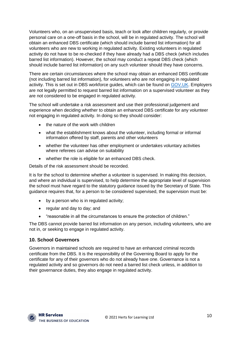Volunteers who, on an unsupervised basis, teach or look after children regularly, or provide personal care on a one-off basis in the school, will be in regulated activity. The school will obtain an enhanced DBS certificate (which should include barred list information) for all volunteers who are new to working in regulated activity. Existing volunteers in regulated activity do not have to be re-checked if they have already had a DBS check (which includes barred list information). However, the school may conduct a repeat DBS check (which should include barred list information) on any such volunteer should they have concerns.

There are certain circumstances where the school may obtain an enhanced DBS certificate (not including barred list information), for volunteers who are not engaging in regulated activity. This is set out in DBS workforce guides, which can be found on [GOV.UK.](https://www.gov.uk/government/publications/dbs-workforce-guidance) Employers are not legally permitted to request barred list information on a supervised volunteer as they are not considered to be engaged in regulated activity.

The school will undertake a risk assessment and use their professional judgement and experience when deciding whether to obtain an enhanced DBS certificate for any volunteer not engaging in regulated activity. In doing so they should consider:

- the nature of the work with children
- what the establishment knows about the volunteer, including formal or informal information offered by staff, parents and other volunteers
- whether the volunteer has other employment or undertakes voluntary activities where referees can advise on suitability
- whether the role is eligible for an enhanced DBS check.

Details of the risk assessment should be recorded.

It is for the school to determine whether a volunteer is supervised. In making this decision, and where an individual is supervised, to help determine the appropriate level of supervision the school must have regard to the statutory guidance issued by the Secretary of State. This guidance requires that, for a person to be considered supervised, the supervision must be:

- by a person who is in regulated activity;
- regular and day to day; and
- "reasonable in all the circumstances to ensure the protection of children."

The DBS cannot provide barred list information on any person, including volunteers, who are not in, or seeking to engage in regulated activity.

## <span id="page-10-0"></span>**10. School Governors**

Governors in maintained schools are required to have an enhanced criminal records certificate from the DBS. It is the responsibility of the Governing Board to apply for the certificate for any of their governors who do not already have one. Governance is not a regulated activity and so governors do not need a barred list check unless, in addition to their governance duties, they also engage in regulated activity.

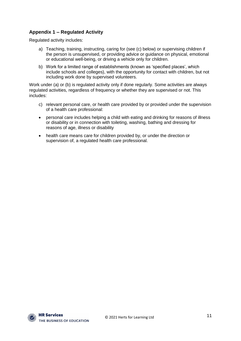# <span id="page-11-0"></span>**Appendix 1 – Regulated Activity**

Regulated activity includes:

- a) Teaching, training, instructing, caring for (see (c) below) or supervising children if the person is unsupervised, or providing advice or guidance on physical, emotional or educational well-being, or driving a vehicle only for children.
- b) Work for a limited range of establishments (known as 'specified places', which include schools and colleges), with the opportunity for contact with children, but not including work done by supervised volunteers.

Work under (a) or (b) is regulated activity only if done regularly. Some activities are always regulated activities, regardless of frequency or whether they are supervised or not. This includes:

- c) relevant personal care, or health care provided by or provided under the supervision of a health care professional:
- personal care includes helping a child with eating and drinking for reasons of illness or disability or in connection with toileting, washing, bathing and dressing for reasons of age, illness or disability
- health care means care for children provided by, or under the direction or supervision of, a regulated health care professional.

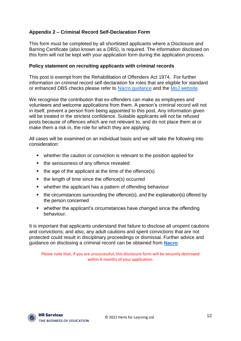# <span id="page-12-0"></span>**Appendix 2 – Criminal Record Self-Declaration Form**

This form must be completed by all shortlisted applicants where a Disclosure and Barring Certificate (also known as a DBS), is required. The information disclosed on this form will not be kept with your application form during the application process.

## **Policy statement on recruiting applicants with criminal records**

This post is exempt from the Rehabilitation of Offenders Act 1974. For further information on criminal record self-declaration for roles that are eligible for standard or enhanced DBS checks please refer to [Nacro guidance](https://www.nacro.org.uk/criminal-record-support-service/) and the [MoJ website.](https://www.gov.uk/government/publications/new-guidance-on-the-rehabilitation-of-offenders-act-1974)

We recognise the contribution that ex-offenders can make as employees and volunteers and welcome applications from them. A person's criminal record will not in itself, prevent a person from being appointed to this post. Any information given will be treated in the strictest confidence. Suitable applicants will not be refused posts because of offences which are not relevant to, and do not place them at or make them a risk in, the role for which they are applying.

All cases will be examined on an individual basis and we will take the following into consideration:

- whether the caution or conviction is relevant to the position applied for
- the seriousness of any offence revealed
- the age of the applicant at the time of the offence(s)
- the length of time since the offence(s) occurred
- whether the applicant has a pattern of offending behaviour
- the circumstances surrounding the offence(s), and the explanation(s) offered by the person concerned
- whether the applicant's circumstances have changed since the offending behaviour.

It is important that applicants understand that failure to disclose all unspent cautions and convictions; and also, any adult cautions and spent convictions that are not protected could result in disciplinary proceedings or dismissal. Further advice and guidance on disclosing a criminal record can be obtained from **[Nacro](http://www.nacro.org.uk/data/files/practical-guidance-on-dbs-filtering-1032.pdf)**.

Please note that, if you are unsuccessful, this disclosure form will be securely destroyed within 6 months of your application.

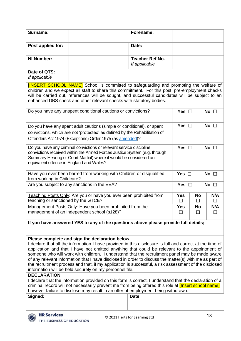| Surname:                                                                                                                                                                                                                                                                                                                                                                                                                                                                                                                                                                                                                                                                                                                                                                                                                                                                                                                                                                                              |                                                                                                         | Forename:                               |                               |                |               |  |  |
|-------------------------------------------------------------------------------------------------------------------------------------------------------------------------------------------------------------------------------------------------------------------------------------------------------------------------------------------------------------------------------------------------------------------------------------------------------------------------------------------------------------------------------------------------------------------------------------------------------------------------------------------------------------------------------------------------------------------------------------------------------------------------------------------------------------------------------------------------------------------------------------------------------------------------------------------------------------------------------------------------------|---------------------------------------------------------------------------------------------------------|-----------------------------------------|-------------------------------|----------------|---------------|--|--|
| Post applied for:                                                                                                                                                                                                                                                                                                                                                                                                                                                                                                                                                                                                                                                                                                                                                                                                                                                                                                                                                                                     |                                                                                                         | Date:                                   |                               |                |               |  |  |
| <b>NI Number:</b>                                                                                                                                                                                                                                                                                                                                                                                                                                                                                                                                                                                                                                                                                                                                                                                                                                                                                                                                                                                     |                                                                                                         | <b>Teacher Ref No.</b><br>If applicable |                               |                |               |  |  |
| Date of QTS:<br>If applicable                                                                                                                                                                                                                                                                                                                                                                                                                                                                                                                                                                                                                                                                                                                                                                                                                                                                                                                                                                         |                                                                                                         |                                         |                               |                |               |  |  |
| <b>[INSERT SCHOOL NAME]</b> School is committed to safeguarding and promoting the welfare of<br>children and we expect all staff to share this commitment. For this post, pre-employment checks<br>will be carried out, references will be sought, and successful candidates will be subject to an<br>enhanced DBS check and other relevant checks with statutory bodies.<br>Do you have any unspent conditional cautions or convictions?<br>Yes $\Box$<br>No $\square$                                                                                                                                                                                                                                                                                                                                                                                                                                                                                                                               |                                                                                                         |                                         |                               |                |               |  |  |
|                                                                                                                                                                                                                                                                                                                                                                                                                                                                                                                                                                                                                                                                                                                                                                                                                                                                                                                                                                                                       |                                                                                                         |                                         |                               |                |               |  |  |
| Yes $\Box$<br>Do you have any spent adult cautions (simple or conditional), or spent<br>convictions, which are not 'protected' as defined by the Rehabilitation of<br>Offenders Act 1974 (Exceptions) Order 1975 (as amended)?                                                                                                                                                                                                                                                                                                                                                                                                                                                                                                                                                                                                                                                                                                                                                                        |                                                                                                         |                                         |                               |                | No $\square$  |  |  |
| Do you have any criminal convictions or relevant service discipline<br>convictions received within the Armed Forces Justice System (e.g. through<br>Summary Hearing or Court Martial) where it would be considered an<br>equivalent offence in England and Wales?                                                                                                                                                                                                                                                                                                                                                                                                                                                                                                                                                                                                                                                                                                                                     |                                                                                                         |                                         | Yes $\square$<br>No $\square$ |                |               |  |  |
| Have you ever been barred from working with Children or disqualified<br>from working in Childcare?                                                                                                                                                                                                                                                                                                                                                                                                                                                                                                                                                                                                                                                                                                                                                                                                                                                                                                    |                                                                                                         |                                         | Yes $\square$<br>No $\square$ |                |               |  |  |
| Are you subject to any sanctions in the EEA?                                                                                                                                                                                                                                                                                                                                                                                                                                                                                                                                                                                                                                                                                                                                                                                                                                                                                                                                                          |                                                                                                         | Yes $\square$<br>No $\square$           |                               |                |               |  |  |
| Teaching Posts Only: Are you or have you ever been prohibited from<br>teaching or sanctioned by the GTCE?                                                                                                                                                                                                                                                                                                                                                                                                                                                                                                                                                                                                                                                                                                                                                                                                                                                                                             |                                                                                                         | <b>Yes</b><br>$\Box$                    | <b>No</b><br>$\Box$           | N/A<br>□       |               |  |  |
|                                                                                                                                                                                                                                                                                                                                                                                                                                                                                                                                                                                                                                                                                                                                                                                                                                                                                                                                                                                                       | Management Posts Only: Have you been prohibited from the<br>management of an independent school (s128)? |                                         | <b>Yes</b><br>$\Box$          | <b>No</b><br>□ | N/A<br>$\Box$ |  |  |
| If you have answered YES to any of the questions above please provide full details;                                                                                                                                                                                                                                                                                                                                                                                                                                                                                                                                                                                                                                                                                                                                                                                                                                                                                                                   |                                                                                                         |                                         |                               |                |               |  |  |
| Please complete and sign the declaration below:<br>I declare that all the information I have provided in this disclosure is full and correct at the time of<br>application and that I have not omitted anything that could be relevant to the appointment of<br>someone who will work with children. I understand that the recruitment panel may be made aware<br>of any relevant information that I have disclosed in order to discuss the matter(s) with me as part of<br>the recruitment process and that, if my application is successful, a risk assessment of the disclosed<br>information will be held securely on my personnel file.<br><b>DECLARATION</b><br>I declare that the information provided on this form is correct. I understand that the declaration of a<br>criminal record will not necessarily prevent me from being offered this role at <i>[Insert school name]</i><br>however failure to disclose may result in an offer of employment being withdrawn.<br>Signed:<br>Date: |                                                                                                         |                                         |                               |                |               |  |  |
| <b>HR Services</b><br>THE BUSINESS OF EDUCATION                                                                                                                                                                                                                                                                                                                                                                                                                                                                                                                                                                                                                                                                                                                                                                                                                                                                                                                                                       |                                                                                                         | © 2021 Herts for Learning Ltd           |                               |                | 13            |  |  |